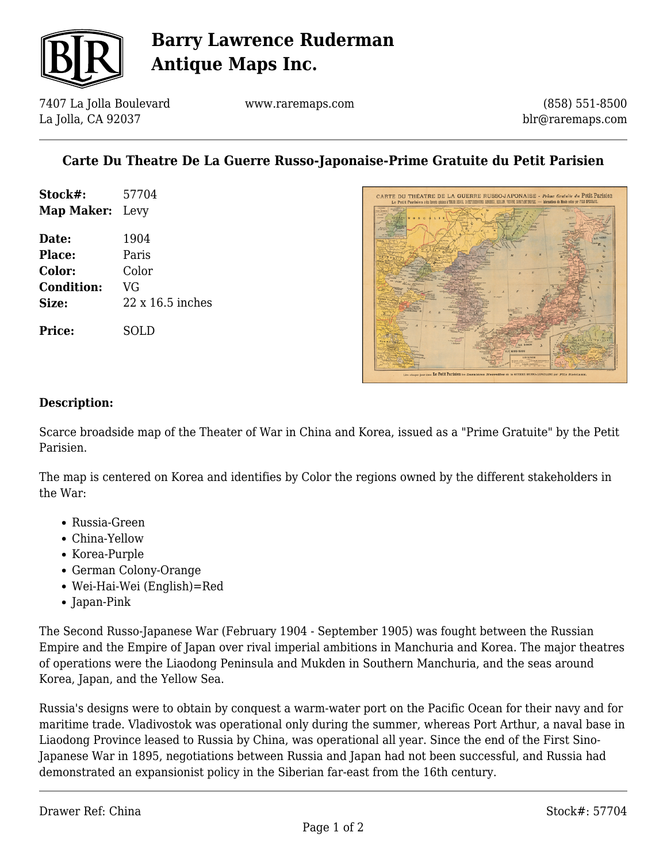

# **Barry Lawrence Ruderman Antique Maps Inc.**

7407 La Jolla Boulevard La Jolla, CA 92037

www.raremaps.com

(858) 551-8500 blr@raremaps.com

## **Carte Du Theatre De La Guerre Russo-Japonaise-Prime Gratuite du Petit Parisien**

| Stock#:                | 57704 |
|------------------------|-------|
| <b>Map Maker:</b> Levy |       |
| Date:                  | 1904  |
| Place:                 | Paris |
|                        |       |

**Color:** Color **Condition:** VG **Size:** 22 x 16.5 inches

**Price:** SOLD



#### **Description:**

Scarce broadside map of the Theater of War in China and Korea, issued as a "Prime Gratuite" by the Petit Parisien.

The map is centered on Korea and identifies by Color the regions owned by the different stakeholders in the War:

- Russia-Green
- China-Yellow
- Korea-Purple
- German Colony-Orange
- Wei-Hai-Wei (English)=Red
- Japan-Pink

The Second Russo-Japanese War (February 1904 - September 1905) was fought between the Russian Empire and the Empire of Japan over rival imperial ambitions in Manchuria and Korea. The major theatres of operations were the Liaodong Peninsula and Mukden in Southern Manchuria, and the seas around Korea, Japan, and the Yellow Sea.

Russia's designs were to obtain by conquest a warm-water port on the Pacific Ocean for their navy and for maritime trade. Vladivostok was operational only during the summer, whereas Port Arthur, a naval base in Liaodong Province leased to Russia by China, was operational all year. Since the end of the First Sino-Japanese War in 1895, negotiations between Russia and Japan had not been successful, and Russia had demonstrated an expansionist policy in the Siberian far-east from the 16th century.